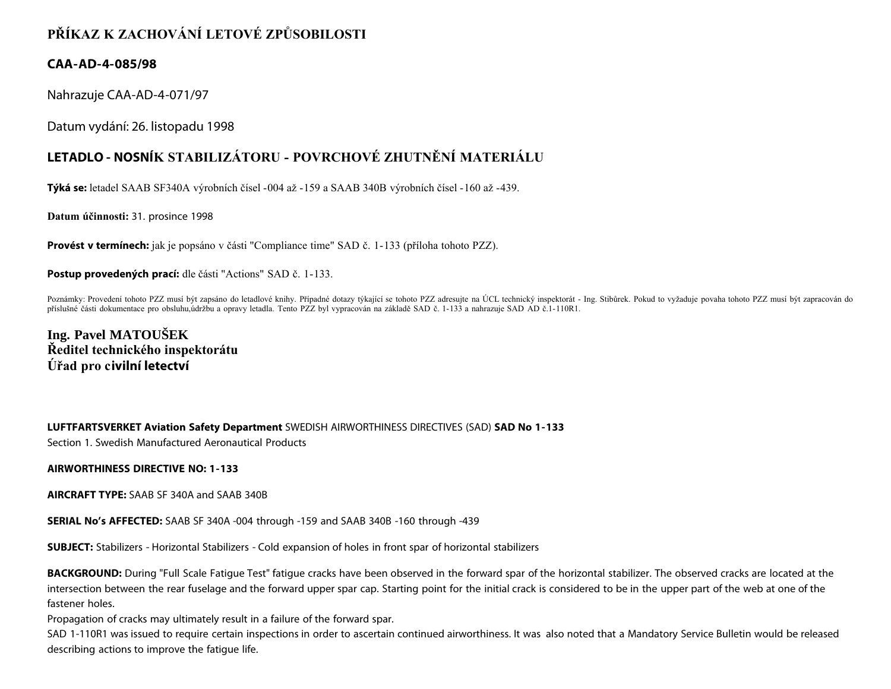# **PŘÍKAZ K ZACHOVÁNÍ LETOVÉ ZPŮSOBILOSTI**

## **CAA-AD-4-085/98**

Nahrazuje CAA-AD-4-071/97

Datum vydání: 26. listopadu 1998

## **LETADLO - NOSNÍK STABILIZÁTORU - POVRCHOVÉ ZHUTNĚNÍ MATERIÁLU**

**Týká se:** letadel SAAB SF340A výrobních čísel -004 až -159 a SAAB 340B výrobních čísel -160 až -439.

**Datum účinnosti:** 31. prosince 1998

**Provést v termínech:** jak je popsáno v části "Compliance time" SAD č. 1-133 (příloha tohoto PZZ).

**Postup provedených prací:** dle části "Actions" SAD č. 1-133.

Poznámky: Provedení tohoto PZZ musí být zapsáno do letadlové knihy. Případné dotazy týkající se tohoto PZZ adresujte na ÚCL technický inspektorát - Ing. Stibůrek. Pokud to vyžaduje povaha tohoto PZZ musí být zapracován do příslušné části dokumentace pro obsluhu,údržbu a opravy letadla. Tento PZZ byl vypracován na základě SAD č. 1-133 a nahrazuje SAD AD č.1-110R1.

**Ing. Pavel MATOUŠEK Ředitel technického inspektorátu Úřad pro civilní letectví**

**LUFTFARTSVERKET Aviation Safety Department** SWEDISH AIRWORTHINESS DIRECTIVES (SAD) **SAD No 1-133** Section 1. Swedish Manufactured Aeronautical Products

### **AIRWORTHINESS DIRECTIVE NO: 1-133**

**AIRCRAFT TYPE:** SAAB SF 340A and SAAB 340B

**SERIAL No's AFFECTED:** SAAB SF 340A -004 through -159 and SAAB 340B -160 through -439

**SUBJECT:** Stabilizers - Horizontal Stabilizers - Cold expansion of holes in front spar of horizontal stabilizers

**BACKGROUND:** During "Full Scale Fatigue Test" fatigue cracks have been observed in the forward spar of the horizontal stabilizer. The observed cracks are located at the intersection between the rear fuselage and the forward upper spar cap. Starting point for the initial crack is considered to be in the upper part of the web at one of the fastener holes.

Propagation of cracks may ultimately result in a failure of the forward spar.

SAD 1-110R1 was issued to require certain inspections in order to ascertain continued airworthiness. It was also noted that a Mandatory Service Bulletin would be released describing actions to improve the fatigue life.